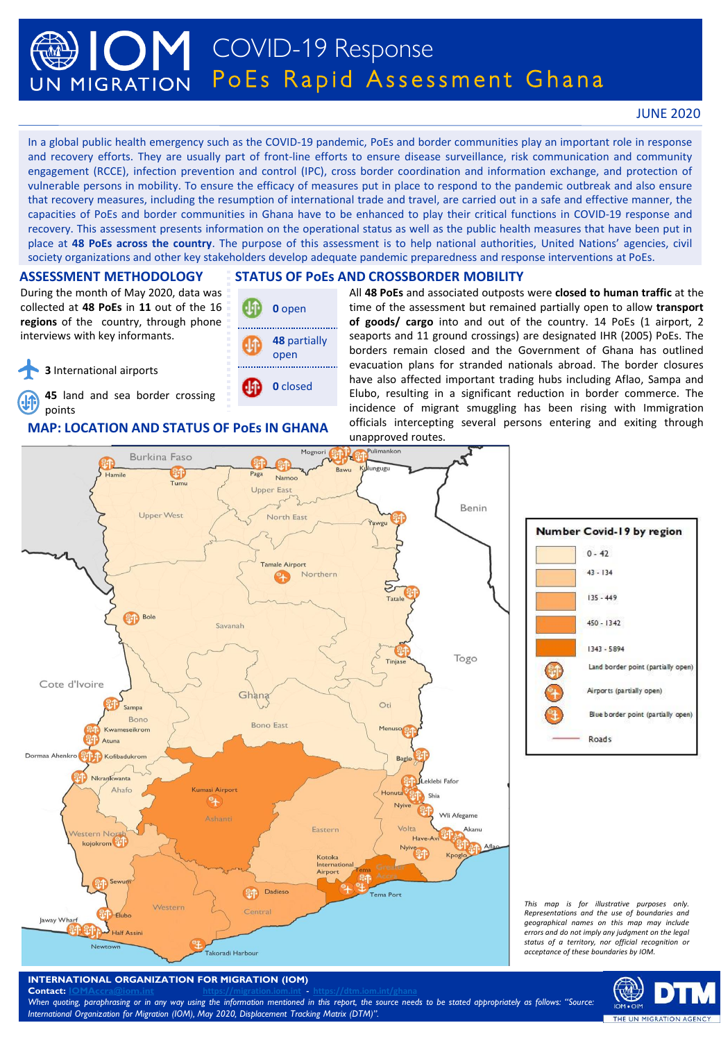# COVID-19 Response PoEs Rapid Assessment Ghana UN MIGRATION

# JUNE 2020

In a global public health emergency such as the COVID-19 pandemic, PoEs and border communities play an important role in response and recovery efforts. They are usually part of front-line efforts to ensure disease surveillance, risk communication and community engagement (RCCE), infection prevention and control (IPC), cross border coordination and information exchange, and protection of vulnerable persons in mobility. To ensure the efficacy of measures put in place to respond to the pandemic outbreak and also ensure that recovery measures, including the resumption of international trade and travel, are carried out in a safe and effective manner, the capacities of PoEs and border communities in Ghana have to be enhanced to play their critical functions in COVID-19 response and recovery. This assessment presents information on the operational status as well as the public health measures that have been put in place at **48 PoEs across the country**. The purpose of this assessment is to help national authorities, United Nations' agencies, civil society organizations and other key stakeholders develop adequate pandemic preparedness and response interventions at PoEs.

## **ASSESSMENT METHODOLOGY**

During the month of May 2020, data was collected at **48 PoEs** in **11** out of the 16 **regions** of the country, through phone interviews with key informants.

**3** International airports

**45** land and sea border crossing points

# **MAP: LOCATION AND STATUS OF PoEs IN GHANA**

# **STATUS OF PoEs AND CROSSBORDER MOBILITY**



All **48 PoEs** and associated outposts were **closed to human traffic** at the time of the assessment but remained partially open to allow **transport of goods/ cargo** into and out of the country. 14 PoEs (1 airport, 2 seaports and 11 ground crossings) are designated IHR (2005) PoEs. The borders remain closed and the Government of Ghana has outlined evacuation plans for stranded nationals abroad. The border closures have also affected important trading hubs including Aflao, Sampa and Elubo, resulting in a significant reduction in border commerce. The incidence of migrant smuggling has been rising with Immigration officials intercepting several persons entering and exiting through unapproved routes.



### *This map is for illustrative purposes only. Representations and the use of boundaries and geographical names on this map may include errors and do not imply any judgment on the legal status of a territory, nor official recognition or acceptance of these boundaries by IOM.*

Number Covid-19 by region  $0 - 42$ 

 $43 - 134$ 

 $135 - 449$ 

 $450 - 1342$ 

1343 - 5894

**Roads** 

Land border point (partially open)

Blue border point (partially open)

Airports (partially open)



**Contact: [IOMAccra@iom.int](mailto:IOMAccra@iom.int) <https://migration.iom.int> - <https://dtm.iom.int/ghana>** When quoting, paraphrasing or in any way using the information mentioned in this report, the source needs to be stated appropriately as follows: "Source: *International Organization for Migration (IOM), May 2020, Displacement Tracking Matrix (DTM)".*

THE UN MIGRATION AGEN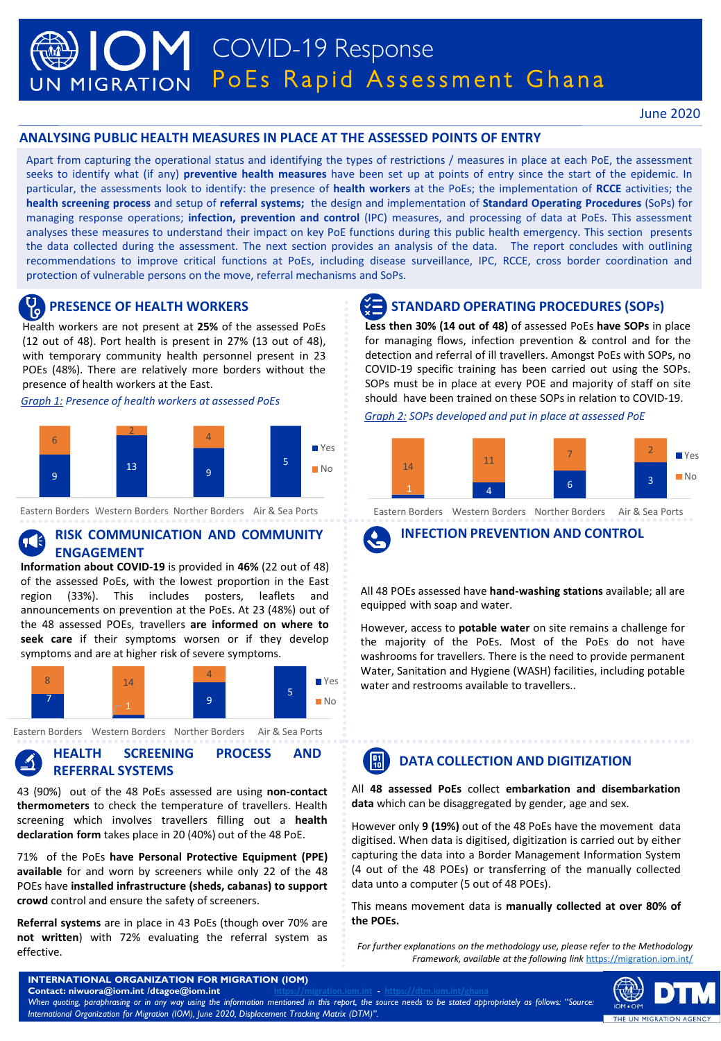# COVID-19 Response UN MIGRATION POES Rapid Assessment Ghana

# **ANALYSING PUBLIC HEALTH MEASURES IN PLACE AT THE ASSESSED POINTS OF ENTRY**

Apart from capturing the operational status and identifying the types of restrictions / measures in place at each PoE, the assessment seeks to identify what (if any) **preventive health measures** have been set up at points of entry since the start of the epidemic. In particular, the assessments look to identify: the presence of **health workers** at the PoEs; the implementation of **RCCE** activities; the **health screening process** and setup of **referral systems;** the design and implementation of **Standard Operating Procedures** (SoPs) for managing response operations; **infection, prevention and control** (IPC) measures, and processing of data at PoEs. This assessment analyses these measures to understand their impact on key PoE functions during this public health emergency. This section presents the data collected during the assessment. The next section provides an analysis of the data. The report concludes with outlining recommendations to improve critical functions at PoEs, including disease surveillance, IPC, RCCE, cross border coordination and protection of vulnerable persons on the move, referral mechanisms and SoPs.

# **Health workers are not present at 25% of the assessed PoEs**

(12 out of 48). Port health is present in 27% (13 out of 48), with temporary community health personnel present in 23 POEs (48%). There are relatively more borders without the presence of health workers at the East.

*Graph 1: Presence of health workers at assessed PoEs*



Eastern Borders Western Borders Norther Borders Air & Sea Ports

# **RISK COMMUNICATION AND COMMUNITY ENGAGEMENT**

**Information about COVID-19** is provided in **46%** (22 out of 48) of the assessed PoEs, with the lowest proportion in the East region (33%). This includes posters, leaflets and announcements on prevention at the PoEs. At 23 (48%) out of the 48 assessed POEs, travellers **are informed on where to seek care** if their symptoms worsen or if they develop symptoms and are at higher risk of severe symptoms.



Eastern Borders Western Borders Norther Borders Air & Sea Ports

# **HEALTH SCREENING PROCESS AND REFERRAL SYSTEMS**

43 (90%) out of the 48 PoEs assessed are using **non-contact thermometers** to check the temperature of travellers. Health screening which involves travellers filling out a **health declaration form** takes place in 20 (40%) out of the 48 PoE.

71% of the PoEs **have Personal Protective Equipment (PPE) available** for and worn by screeners while only 22 of the 48 POEs have **installed infrastructure (sheds, cabanas) to support crowd** control and ensure the safety of screeners.

**Referral systems** are in place in 43 PoEs (though over 70% are **not written**) with 72% evaluating the referral system as effective.

# **PRESENCE OF HEALTH WORKERS STANDARD OPERATING PROCEDURES (SOPs)**

**Less then 30% (14 out of 48)** of assessed PoEs **have SOPs** in place for managing flows, infection prevention & control and for the detection and referral of ill travellers. Amongst PoEs with SOPs, no COVID-19 specific training has been carried out using the SOPs. SOPs must be in place at every POE and majority of staff on site should have been trained on these SOPs in relation to COVID-19.

*Graph 2: SOPs developed and put in place at assessed PoE*



Eastern Borders Western Borders Norther Borders Air & Sea Ports



**INFECTION PREVENTION AND CONTROL**

All 48 POEs assessed have **hand-washing stations** available; all are equipped with soap and water.

However, access to **potable water** on site remains a challenge for the majority of the PoEs. Most of the PoEs do not have washrooms for travellers. There is the need to provide permanent Water, Sanitation and Hygiene (WASH) facilities, including potable water and restrooms available to travellers..

### **DATA COLLECTION AND DIGITIZATION**  $\left| \begin{smallmatrix} 01 \\ 10 \end{smallmatrix} \right|$

All **48 assessed PoEs** collect **embarkation and disembarkation data** which can be disaggregated by gender, age and sex.

However only **9 (19%)** out of the 48 PoEs have the movement data digitised. When data is digitised, digitization is carried out by either capturing the data into a Border Management Information System (4 out of the 48 POEs) or transferring of the manually collected data unto a computer (5 out of 48 POEs).

This means movement data is **manually collected at over 80% of the POEs.**

*For further explanations on the methodology use, please refer to the Methodology Framework, available at the following link* <https://migration.iom.int/>



**INTERNATIONAL ORGANIZATION FOR MIGRATION (IOM)**  $Contact: niwuora@iom.int$  /dtagoe@iom.int When quoting, paraphrasing or in any way using the information mentioned in this report, the source needs to be stated appropriately as follows: "Source *International Organization for Migration (IOM), June 2020, Displacement Tracking Matrix (DTM)".*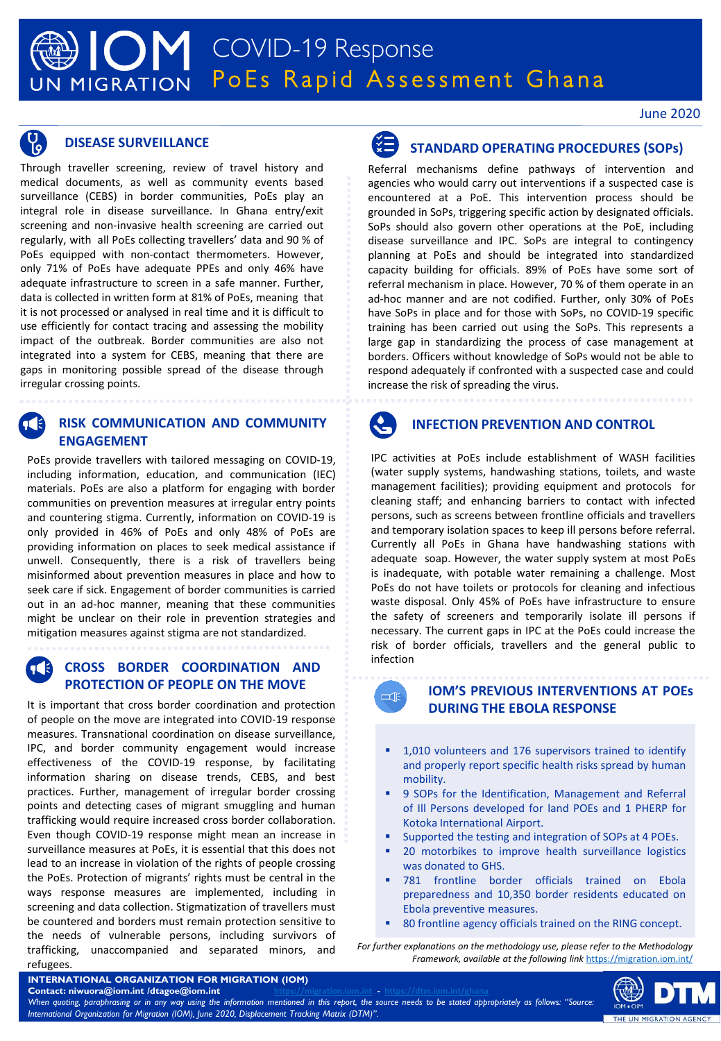Through traveller screening, review of travel history and medical documents, as well as community events based surveillance (CEBS) in border communities, PoEs play an integral role in disease surveillance. In Ghana entry/exit screening and non-invasive health screening are carried out regularly, with all PoEs collecting travellers' data and 90 % of PoEs equipped with non-contact thermometers. However, only 71% of PoEs have adequate PPEs and only 46% have adequate infrastructure to screen in a safe manner. Further, data is collected in written form at 81% of PoEs, meaning that it is not processed or analysed in real time and it is difficult to use efficiently for contact tracing and assessing the mobility impact of the outbreak. Border communities are also not integrated into a system for CEBS, meaning that there are gaps in monitoring possible spread of the disease through irregular crossing points.

# **RISK COMMUNICATION AND COMMUNITY ENGAGEMENT**

PoEs provide travellers with tailored messaging on COVID-19, including information, education, and communication (IEC) materials. PoEs are also a platform for engaging with border communities on prevention measures at irregular entry points and countering stigma. Currently, information on COVID-19 is only provided in 46% of PoEs and only 48% of PoEs are providing information on places to seek medical assistance if unwell. Consequently, there is a risk of travellers being misinformed about prevention measures in place and how to seek care if sick. Engagement of border communities is carried out in an ad-hoc manner, meaning that these communities might be unclear on their role in prevention strategies and mitigation measures against stigma are not standardized.

# **CROSS BORDER COORDINATION AND PROTECTION OF PEOPLE ON THE MOVE**

It is important that cross border coordination and protection of people on the move are integrated into COVID-19 response measures. Transnational coordination on disease surveillance, IPC, and border community engagement would increase effectiveness of the COVID-19 response, by facilitating information sharing on disease trends, CEBS, and best practices. Further, management of irregular border crossing points and detecting cases of migrant smuggling and human trafficking would require increased cross border collaboration. Even though COVID-19 response might mean an increase in surveillance measures at PoEs, it is essential that this does not lead to an increase in violation of the rights of people crossing the PoEs. Protection of migrants' rights must be central in the ways response measures are implemented, including in screening and data collection. Stigmatization of travellers must be countered and borders must remain protection sensitive to the needs of vulnerable persons, including survivors of trafficking, unaccompanied and separated minors, and refugees.



# **DISEASE SURVEILLANCE SURVEILLANCE STANDARD OPERATING PROCEDURES** (SOPS)

Referral mechanisms define pathways of intervention and agencies who would carry out interventions if a suspected case is encountered at a PoE. This intervention process should be grounded in SoPs, triggering specific action by designated officials. SoPs should also govern other operations at the PoE, including disease surveillance and IPC. SoPs are integral to contingency planning at PoEs and should be integrated into standardized capacity building for officials. 89% of PoEs have some sort of referral mechanism in place. However, 70 % of them operate in an ad-hoc manner and are not codified. Further, only 30% of PoEs have SoPs in place and for those with SoPs, no COVID-19 specific training has been carried out using the SoPs. This represents a large gap in standardizing the process of case management at borders. Officers without knowledge of SoPs would not be able to respond adequately if confronted with a suspected case and could increase the risk of spreading the virus.



# **INFECTION PREVENTION AND CONTROL**

IPC activities at PoEs include establishment of WASH facilities (water supply systems, handwashing stations, toilets, and waste management facilities); providing equipment and protocols for cleaning staff; and enhancing barriers to contact with infected persons, such as screens between frontline officials and travellers and temporary isolation spaces to keep ill persons before referral. Currently all PoEs in Ghana have handwashing stations with adequate soap. However, the water supply system at most PoEs is inadequate, with potable water remaining a challenge. Most PoEs do not have toilets or protocols for cleaning and infectious waste disposal. Only 45% of PoEs have infrastructure to ensure the safety of screeners and temporarily isolate ill persons if necessary. The current gaps in IPC at the PoEs could increase the risk of border officials, travellers and the general public to infection



# **IOM'S PREVIOUS INTERVENTIONS AT POEs DURING THE EBOLA RESPONSE**

- 1,010 volunteers and 176 supervisors trained to identify and properly report specific health risks spread by human mobility.
- 9 SOPs for the Identification, Management and Referral of Ill Persons developed for land POEs and 1 PHERP for Kotoka International Airport.
- Supported the testing and integration of SOPs at 4 POEs.
- 20 motorbikes to improve health surveillance logistics was donated to GHS.
- 781 frontline border officials trained on Ebola preparedness and 10,350 border residents educated on Ebola preventive measures.
- 80 frontline agency officials trained on the RING concept.

*For further explanations on the methodology use, please refer to the Methodology Framework, available at the following link* <https://migration.iom.int/>